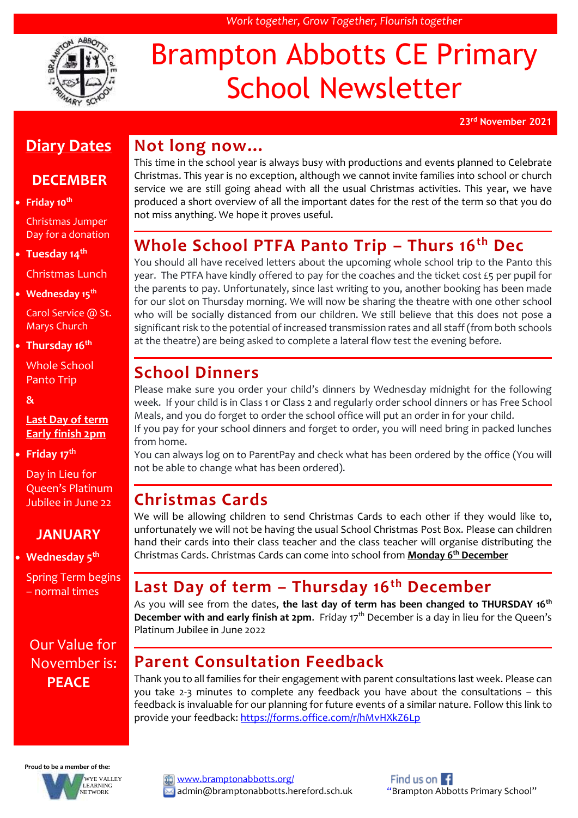

# Brampton Abbotts CE Primary School Newsletter

*Work together, Grow Together, Flourish together*

**23rd November 2021**

#### **Diary Dates**

#### **DECEMBER**

**Friday 10th**

Christmas Jumper Day for a donation

 **Tuesday 14th** Christmas Lunch

**Wednesday 15th**

Carol Service @ St. Marys Church

**Thursday 16th**

Whole School Panto Trip

**&**

#### **Last Day of term Early finish 2pm**

**Friday 17th**

Day in Lieu for Queen's Platinum Jubilee in June 22

#### **JANUARY**

**Wednesday 5th** 

Spring Term begins – normal times

#### Our Value for November is: **PEACE**

#### **Not long now…** This time in the school year is always busy with productions and events planned to Celebrate Christmas. This year is no exception, although we cannot invite families into school or church service we are still going ahead with all the usual Christmas activities. This year, we have produced a short overview of all the important dates for the rest of the term so that you do not miss anything. We hope it proves useful.

# **Whole School PTFA Panto Trip – Thurs 16th Dec**

You should all have received letters about the upcoming whole school trip to the Panto this year. The PTFA have kindly offered to pay for the coaches and the ticket cost £5 per pupil for the parents to pay. Unfortunately, since last writing to you, another booking has been made for our slot on Thursday morning. We will now be sharing the theatre with one other school who will be socially distanced from our children. We still believe that this does not pose a significant risk to the potential of increased transmission rates and all staff (from both schools at the theatre) are being asked to complete a lateral flow test the evening before.

### **School Dinners**

Please make sure you order your child's dinners by Wednesday midnight for the following week. If your child is in Class 1 or Class 2 and regularly order school dinners or has Free School Meals, and you do forget to order the school office will put an order in for your child.

If you pay for your school dinners and forget to order, you will need bring in packed lunches from home.

You can always log on to ParentPay and check what has been ordered by the office (You will not be able to change what has been ordered).

### **Christmas Cards**

We will be allowing children to send Christmas Cards to each other if they would like to, unfortunately we will not be having the usual School Christmas Post Box. Please can children hand their cards into their class teacher and the class teacher will organise distributing the Christmas Cards. Christmas Cards can come into school from **Monday 6th December**

#### **Last Day of term – Thursday 16th December**

As you will see from the dates, **the last day of term has been changed to THURSDAY 16th December with and early finish at 2pm.** Friday 17<sup>th</sup> December is a day in lieu for the Queen's Platinum Jubilee in June 2022

# **Parent Consultation Feedback**

Thank you to all families for their engagement with parent consultations last week. Please can you take 2-3 minutes to complete any feedback you have about the consultations – this feedback is invaluable for our planning for future events of a similar nature. Follow this link to provide your feedback[: https://forms.office.com/r/hMvHXkZ6Lp](https://forms.office.com/r/hMvHXkZ6Lp)

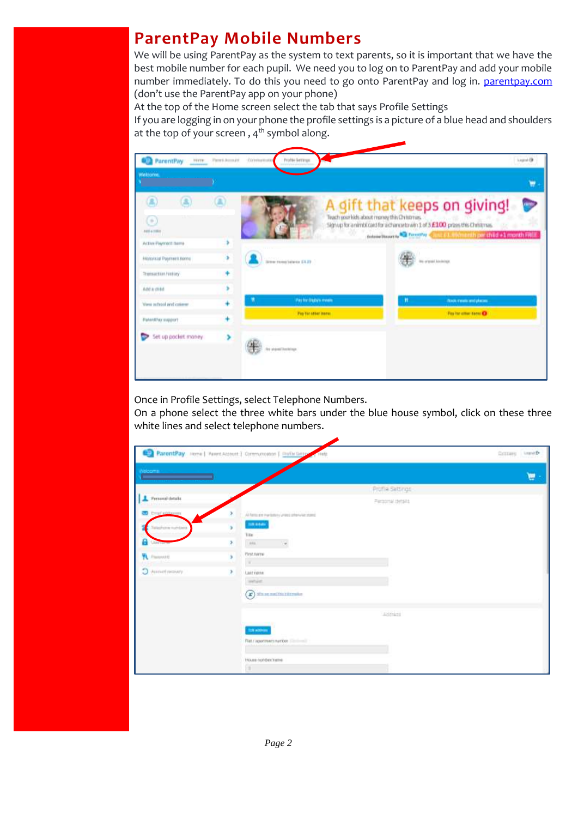### **ParentPay Mobile Numbers**

We will be using ParentPay as the system to text parents, so it is important that we have the best mobile number for each pupil. We need you to log on to ParentPay and add your mobile number immediately. To do this you need to go onto ParentPay and log in. [parentpay.com](http://www.parentpay.com/) (don't use the ParentPay app on your phone)

At the top of the Home screen select the tab that says Profile Settings

If you are logging in on your phone the profile settings is a picture of a blue head and shoulders at the top of your screen,  $4<sup>th</sup>$  symbol along.

| ParentPay<br>Horry.                                                                  | Firm's Account . | Priofile Gettings:<br>CONTRACTOR                             | logid                                                                                                                                                                                                                                  |
|--------------------------------------------------------------------------------------|------------------|--------------------------------------------------------------|----------------------------------------------------------------------------------------------------------------------------------------------------------------------------------------------------------------------------------------|
| Welcom'n.                                                                            |                  |                                                              | ۳                                                                                                                                                                                                                                      |
| я<br>m<br>C (k)<br>10341001                                                          |                  |                                                              | A gift that keeps on giving!<br>Teach your lock about money this Christmas.<br>Signupfor animblicard for a chancertowin 1 of 3 £100 press this Christmas.<br>notation moves and however a little for control part third a 1 month FREE |
| Active Payment name<br>Historical Payment tions<br>Theisactus Nittiey<br>Add a child | ٠                | Direct Florid Salaries EA.23                                 | Ins. original Education                                                                                                                                                                                                                |
| View refroot and colorer<br>PatentPay support                                        | ۰                | <b><i>Hay he Dadary means</i></b><br><b>Porturated benu.</b> | <b>Book means and places:</b><br>Particular time Of                                                                                                                                                                                    |
| Set up pocket money                                                                  | ×                | Fee shared brookings.                                        |                                                                                                                                                                                                                                        |

Once in Profile Settings, select Telephone Numbers.

On a phone select the three white bars under the blue house symbol, click on these three white lines and select telephone numbers.

|                           |   | ParentPay Home   Parent Account   Communication   Profit Serry<br>$-14051$ | Company Leavelle |
|---------------------------|---|----------------------------------------------------------------------------|------------------|
| Nelcoma :                 |   |                                                                            | e                |
|                           |   | Profile Settings                                                           |                  |
| Personal details          |   | Personal details                                                           |                  |
| <b>CO</b> Creat addresses |   | Al farm are marketing Group phone as inpect                                |                  |
| Western nutrition         |   | 10,000                                                                     |                  |
| 試<br><b>JUSTINET</b>      | s | Triban<br>into.<br>٠                                                       |                  |
|                           |   | First name                                                                 |                  |
| <b>PL</b> Passworth       | ś | ×                                                                          |                  |
| Western Party             | × | Lastyame                                                                   |                  |
|                           |   | swice.                                                                     |                  |
|                           |   | $\left( \mathbf{F}\right)$ site or matrix referration                      |                  |
|                           |   | Address                                                                    |                  |
|                           |   | $- - - - -$<br><b>SUN ACROSS</b>                                           |                  |
|                           |   | Fiat / apprtment market [ [ [ [ ] ]                                        |                  |
|                           |   | House compectrates                                                         |                  |
|                           |   | a.                                                                         |                  |